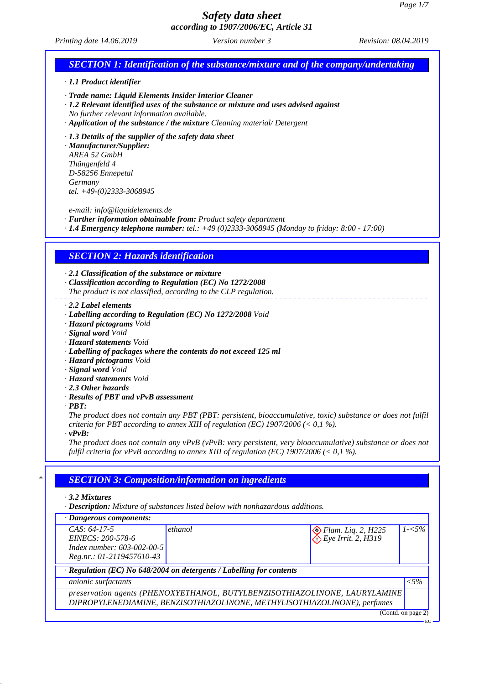*Printing date 14.06.2019 Revision: 08.04.2019 Version number 3*

## *SECTION 1: Identification of the substance/mixture and of the company/undertaking · 1.1 Product identifier · Trade name: Liquid Elements Insider Interior Cleaner · 1.2 Relevant identified uses of the substance or mixture and uses advised against No further relevant information available. · Application of the substance / the mixture Cleaning material/ Detergent · 1.3 Details of the supplier of the safety data sheet · Manufacturer/Supplier: AREA 52 GmbH Thüngenfeld 4 D-58256 Ennepetal Germany tel. +49-(0)2333-3068945 e-mail: info@liquidelements.de · Further information obtainable from: Product safety department · 1.4 Emergency telephone number: tel.: +49 (0)2333-3068945 (Monday to friday: 8:00 - 17:00) SECTION 2: Hazards identification · 2.1 Classification of the substance or mixture · Classification according to Regulation (EC) No 1272/2008 The product is not classified, according to the CLP regulation. · 2.2 Label elements · Labelling according to Regulation (EC) No 1272/2008 Void · Hazard pictograms Void · Signal word Void · Hazard statements Void · Labelling of packages where the contents do not exceed 125 ml · Hazard pictograms Void · Signal word Void · Hazard statements Void · 2.3 Other hazards · Results of PBT and vPvB assessment · PBT: The product does not contain any PBT (PBT: persistent, bioaccumulative, toxic) substance or does not fulfil criteria for PBT according to annex XIII of regulation (EC) 1907/2006 (< 0,1 %). · vPvB: The product does not contain any vPvB (vPvB: very persistent, very bioaccumulative) substance or does not fulfil criteria for vPvB according to annex XIII of regulation (EC) 1907/2006 (< 0,1 %). \* SECTION 3: Composition/information on ingredients · 3.2 Mixtures · Description: Mixture of substances listed below with nonhazardous additions. · Dangerous components: CAS: 64-17-5 EINECS: 200-578-6 Index number: 603-002-00-5 Reg.nr.: 01-2119457610-43* **ethanol** *ethanol ethanol ethanol* **<b>***P ethanol P ethanol* **<b>***ethanol ethanol ethanol ethanol* **<b>***ethanol ethanol ethanol ethanol ethanol ethanol ethanol* **<b>***ethanol Eye Irrit. 2, H319 1-<5% · Regulation (EC) No 648/2004 on detergents / Labelling for contents anionic surfactants <5% preservation agents (PHENOXYETHANOL, BUTYLBENZISOTHIAZOLINONE, LAURYLAMINE DIPROPYLENEDIAMINE, BENZISOTHIAZOLINONE, METHYLISOTHIAZOLINONE), perfumes* (Contd. on page 2) EU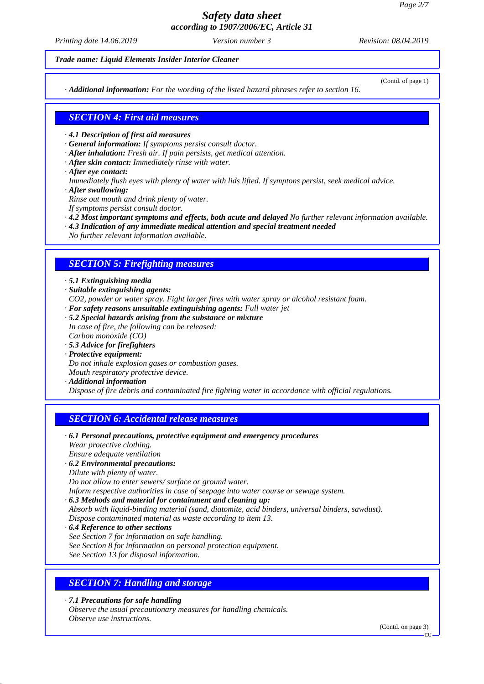*Printing date 14.06.2019 Revision: 08.04.2019 Version number 3*

#### *Trade name: Liquid Elements Insider Interior Cleaner*

*· Additional information: For the wording of the listed hazard phrases refer to section 16.*

(Contd. of page 1)

## *SECTION 4: First aid measures*

- *· 4.1 Description of first aid measures*
- *· General information: If symptoms persist consult doctor.*
- *· After inhalation: Fresh air. If pain persists, get medical attention.*
- *· After skin contact: Immediately rinse with water.*
- *· After eye contact:*
- *Immediately flush eyes with plenty of water with lids lifted. If symptons persist, seek medical advice.*
- *· After swallowing:*
- *Rinse out mouth and drink plenty of water.*
- *If symptoms persist consult doctor.*
- *· 4.2 Most important symptoms and effects, both acute and delayed No further relevant information available.*
- *· 4.3 Indication of any immediate medical attention and special treatment needed*
- *No further relevant information available.*

### *SECTION 5: Firefighting measures*

- *· 5.1 Extinguishing media*
- *· Suitable extinguishing agents:*
- *CO2, powder or water spray. Fight larger fires with water spray or alcohol resistant foam.*
- *· For safety reasons unsuitable extinguishing agents: Full water jet*
- *· 5.2 Special hazards arising from the substance or mixture In case of fire, the following can be released: Carbon monoxide (CO)*
- *· 5.3 Advice for firefighters*
- *· Protective equipment: Do not inhale explosion gases or combustion gases. Mouth respiratory protective device.*
- *· Additional information*

*Dispose of fire debris and contaminated fire fighting water in accordance with official regulations.*

### *SECTION 6: Accidental release measures*

- *· 6.1 Personal precautions, protective equipment and emergency procedures Wear protective clothing.*
- *Ensure adequate ventilation*

#### *· 6.2 Environmental precautions:*

*Dilute with plenty of water.*

*Do not allow to enter sewers/ surface or ground water.*

*Inform respective authorities in case of seepage into water course or sewage system.*

- *· 6.3 Methods and material for containment and cleaning up:*
- *Absorb with liquid-binding material (sand, diatomite, acid binders, universal binders, sawdust).*
- *Dispose contaminated material as waste according to item 13.*
- *· 6.4 Reference to other sections*
- *See Section 7 for information on safe handling.*
- *See Section 8 for information on personal protection equipment.*

*See Section 13 for disposal information.*

## *SECTION 7: Handling and storage*

*· 7.1 Precautions for safe handling Observe the usual precautionary measures for handling chemicals. Observe use instructions.*

(Contd. on page 3)

EU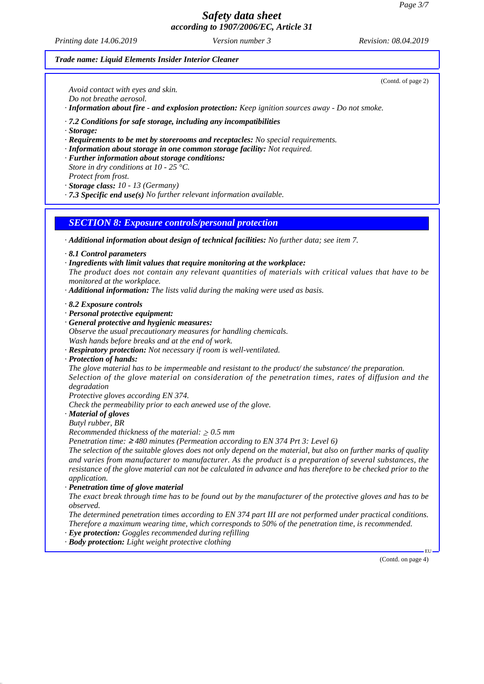*Printing date 14.06.2019 Revision: 08.04.2019 Version number 3*

(Contd. of page 2)

#### *Trade name: Liquid Elements Insider Interior Cleaner*

*Avoid contact with eyes and skin. Do not breathe aerosol.*

*· Information about fire - and explosion protection: Keep ignition sources away - Do not smoke.*

*· 7.2 Conditions for safe storage, including any incompatibilities*

- *· Storage:*
- *· Requirements to be met by storerooms and receptacles: No special requirements.*
- *· Information about storage in one common storage facility: Not required.*
- *· Further information about storage conditions:*
- *Store in dry conditions at 10 25 °C.*
- *Protect from frost. · Storage class: 10 - 13 (Germany)*
- *· 7.3 Specific end use(s) No further relevant information available.*

*SECTION 8: Exposure controls/personal protection*

*· Additional information about design of technical facilities: No further data; see item 7.*

- *· 8.1 Control parameters*
- *· Ingredients with limit values that require monitoring at the workplace:*

*The product does not contain any relevant quantities of materials with critical values that have to be monitored at the workplace.*

- *· Additional information: The lists valid during the making were used as basis.*
- *· 8.2 Exposure controls*
- *· Personal protective equipment:*
- *· General protective and hygienic measures: Observe the usual precautionary measures for handling chemicals. Wash hands before breaks and at the end of work.*
- *· Respiratory protection: Not necessary if room is well-ventilated.*
- *· Protection of hands:*

*The glove material has to be impermeable and resistant to the product/ the substance/ the preparation. Selection of the glove material on consideration of the penetration times, rates of diffusion and the degradation*

*Protective gloves according EN 374.*

*Check the permeability prior to each anewed use of the glove.*

*· Material of gloves*

*Butyl rubber, BR*

*Recommended thickness of the material:*  $\geq 0.5$  *mm* 

*Penetration time:* ≥ *480 minutes (Permeation according to EN 374 Prt 3: Level 6)*

*The selection of the suitable gloves does not only depend on the material, but also on further marks of quality and varies from manufacturer to manufacturer. As the product is a preparation of several substances, the resistance of the glove material can not be calculated in advance and has therefore to be checked prior to the application.*

*· Penetration time of glove material*

*The exact break through time has to be found out by the manufacturer of the protective gloves and has to be observed.*

*The determined penetration times according to EN 374 part III are not performed under practical conditions. Therefore a maximum wearing time, which corresponds to 50% of the penetration time, is recommended.*

- *· Eye protection: Goggles recommended during refilling*
- *· Body protection: Light weight protective clothing*

(Contd. on page 4)

EU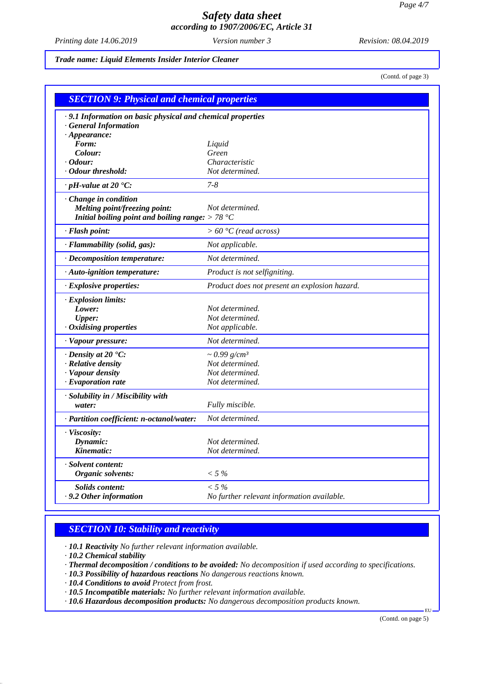*Printing date 14.06.2019 Revision: 08.04.2019 Version number 3*

*Trade name: Liquid Elements Insider Interior Cleaner*

(Contd. of page 3)

| <b>SECTION 9: Physical and chemical properties</b>         |                                               |  |
|------------------------------------------------------------|-----------------------------------------------|--|
| .9.1 Information on basic physical and chemical properties |                                               |  |
| <b>General Information</b>                                 |                                               |  |
| $\cdot$ Appearance:                                        |                                               |  |
| Form:                                                      | Liquid                                        |  |
| Colour:                                                    | Green                                         |  |
| Odour:                                                     | Characteristic                                |  |
| · Odour threshold:                                         | Not determined.                               |  |
| $\cdot$ pH-value at 20 $\textdegree$ C:                    | $7 - 8$                                       |  |
| · Change in condition                                      |                                               |  |
| <b>Melting point/freezing point:</b>                       | Not determined.                               |  |
| Initial boiling point and boiling range: $> 78 °C$         |                                               |  |
| · Flash point:                                             | $> 60 °C$ (read across)                       |  |
| · Flammability (solid, gas):                               | Not applicable.                               |  |
| · Decomposition temperature:                               | Not determined.                               |  |
| · Auto-ignition temperature:                               | Product is not selfigniting.                  |  |
| · Explosive properties:                                    | Product does not present an explosion hazard. |  |
| · Explosion limits:                                        |                                               |  |
| Lower:                                                     | Not determined.                               |  |
| <b>Upper:</b>                                              | Not determined.                               |  |
| · Oxidising properties                                     | Not applicable.                               |  |
| · Vapour pressure:                                         | Not determined.                               |  |
| $\cdot$ Density at 20 $\cdot$ C:                           | $\sim 0.99$ g/cm <sup>3</sup>                 |  |
| $\cdot$ Relative density                                   | Not determined.                               |  |
| · Vapour density                                           | Not determined.                               |  |
| $\cdot$ Evaporation rate                                   | Not determined.                               |  |
| · Solubility in / Miscibility with                         |                                               |  |
| water:                                                     | Fully miscible.                               |  |
| · Partition coefficient: n-octanol/water:                  | Not determined.                               |  |
| · Viscosity:                                               |                                               |  |
| Dynamic:                                                   | Not determined.                               |  |
| Kinematic:                                                 | Not determined.                               |  |
| · Solvent content:                                         |                                               |  |
| Organic solvents:                                          | $< 5\%$                                       |  |
| Solids content:                                            | $< 5\%$                                       |  |
| .9.2 Other information                                     | No further relevant information available.    |  |

## *SECTION 10: Stability and reactivity*

*· 10.1 Reactivity No further relevant information available.*

*· 10.2 Chemical stability*

- *· Thermal decomposition / conditions to be avoided: No decomposition if used according to specifications.*
- *· 10.3 Possibility of hazardous reactions No dangerous reactions known.*
- *· 10.4 Conditions to avoid Protect from frost.*

*· 10.5 Incompatible materials: No further relevant information available.*

*· 10.6 Hazardous decomposition products: No dangerous decomposition products known.*

(Contd. on page 5)

EU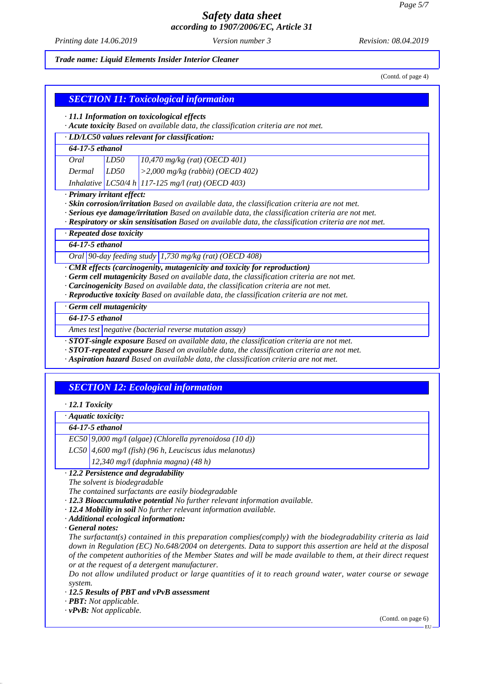*Printing date 14.06.2019 Revision: 08.04.2019 Version number 3*

*Trade name: Liquid Elements Insider Interior Cleaner*

(Contd. of page 4)

## *SECTION 11: Toxicological information*

*· 11.1 Information on toxicological effects*

*· Acute toxicity Based on available data, the classification criteria are not met.*

*· LD/LC50 values relevant for classification:*

### *64-17-5 ethanol*

| Oral            | LD50 | $10,470$ mg/kg (rat) (OECD 401)                     |
|-----------------|------|-----------------------------------------------------|
| $Dermal$ $LD50$ |      | $\vert$ >2,000 mg/kg (rabbit) (OECD 402)            |
|                 |      | Inhalative $LC50/4 h$ 117-125 mg/l (rat) (OECD 403) |

#### *· Primary irritant effect:*

*· Skin corrosion/irritation Based on available data, the classification criteria are not met.*

*· Serious eye damage/irritation Based on available data, the classification criteria are not met.*

*· Respiratory or skin sensitisation Based on available data, the classification criteria are not met.*

*· Repeated dose toxicity*

*64-17-5 ethanol*

*Oral 90-day feeding study 1,730 mg/kg (rat) (OECD 408)*

*· CMR effects (carcinogenity, mutagenicity and toxicity for reproduction)*

- *· Germ cell mutagenicity Based on available data, the classification criteria are not met.*
- *· Carcinogenicity Based on available data, the classification criteria are not met.*
- *· Reproductive toxicity Based on available data, the classification criteria are not met.*

*· Germ cell mutagenicity*

*64-17-5 ethanol*

*Ames test negative (bacterial reverse mutation assay)*

*· STOT-single exposure Based on available data, the classification criteria are not met.*

*· STOT-repeated exposure Based on available data, the classification criteria are not met.*

*· Aspiration hazard Based on available data, the classification criteria are not met.*

## *SECTION 12: Ecological information*

*· 12.1 Toxicity*

*· Aquatic toxicity:*

### *64-17-5 ethanol*

*EC50 9,000 mg/l (algae) (Chlorella pyrenoidosa (10 d))*

*LC50 4,600 mg/l (fish) (96 h, Leuciscus idus melanotus)*

*12,340 mg/l (daphnia magna) (48 h)*

#### *· 12.2 Persistence and degradability*

*The solvent is biodegradable*

*The contained surfactants are easily biodegradable*

*· 12.3 Bioaccumulative potential No further relevant information available.*

*· 12.4 Mobility in soil No further relevant information available.*

*· Additional ecological information:*

*· General notes:*

*The surfactant(s) contained in this preparation complies(comply) with the biodegradability criteria as laid down in Regulation (EC) No.648/2004 on detergents. Data to support this assertion are held at the disposal of the competent authorities of the Member States and will be made available to them, at their direct request or at the request of a detergent manufacturer.*

*Do not allow undiluted product or large quantities of it to reach ground water, water course or sewage system.*

*· 12.5 Results of PBT and vPvB assessment*

*· PBT: Not applicable.*

*· vPvB: Not applicable.*

(Contd. on page 6)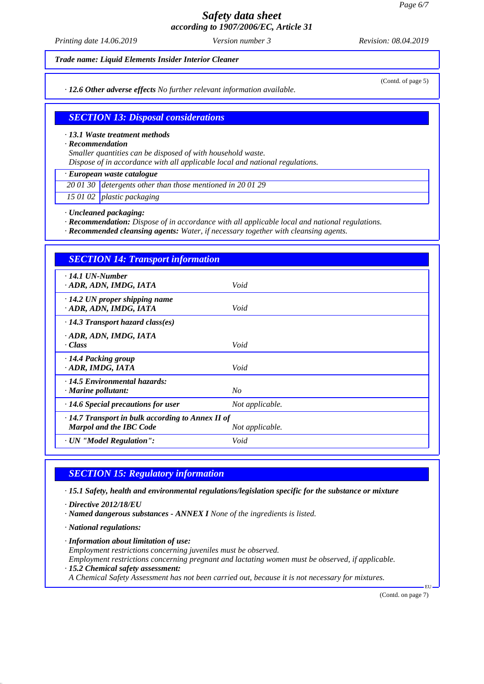*Printing date 14.06.2019 Revision: 08.04.2019 Version number 3*

*Trade name: Liquid Elements Insider Interior Cleaner*

*· 12.6 Other adverse effects No further relevant information available.*

(Contd. of page 5)

## *SECTION 13: Disposal considerations*

#### *· 13.1 Waste treatment methods*

*· Recommendation*

*Smaller quantities can be disposed of with household waste.*

*Dispose of in accordance with all applicable local and national regulations.*

### *· European waste catalogue*

*20 01 30 detergents other than those mentioned in 20 01 29*

*15 01 02 plastic packaging*

#### *· Uncleaned packaging:*

*· Recommendation: Dispose of in accordance with all applicable local and national regulations.*

*· Recommended cleansing agents: Water, if necessary together with cleansing agents.*

| <b>SECTION 14: Transport information</b>                                           |                 |
|------------------------------------------------------------------------------------|-----------------|
| $\cdot$ 14.1 UN-Number<br>ADR, ADN, IMDG, IATA                                     | Void            |
| $\cdot$ 14.2 UN proper shipping name<br>ADR, ADN, IMDG, IATA                       | Void            |
| $\cdot$ 14.3 Transport hazard class(es)                                            |                 |
| ADR, ADN, IMDG, IATA<br>· Class                                                    | Void            |
| ⋅14.4 Packing group<br>ADR, IMDG, IATA                                             | Void            |
| · 14.5 Environmental hazards:<br>$\cdot$ Marine pollutant:                         | No              |
| $\cdot$ 14.6 Special precautions for user                                          | Not applicable. |
| $\cdot$ 14.7 Transport in bulk according to Annex II of<br>Marpol and the IBC Code | Not applicable. |
| · UN "Model Regulation":                                                           | Void            |

### *SECTION 15: Regulatory information*

*· 15.1 Safety, health and environmental regulations/legislation specific for the substance or mixture*

- *· Directive 2012/18/EU*
- *· Named dangerous substances ANNEX I None of the ingredients is listed.*
- *· National regulations:*
- *· Information about limitation of use: Employment restrictions concerning juveniles must be observed. Employment restrictions concerning pregnant and lactating women must be observed, if applicable.*
- *· 15.2 Chemical safety assessment:*

*A Chemical Safety Assessment has not been carried out, because it is not necessary for mixtures.*

(Contd. on page 7)

EU